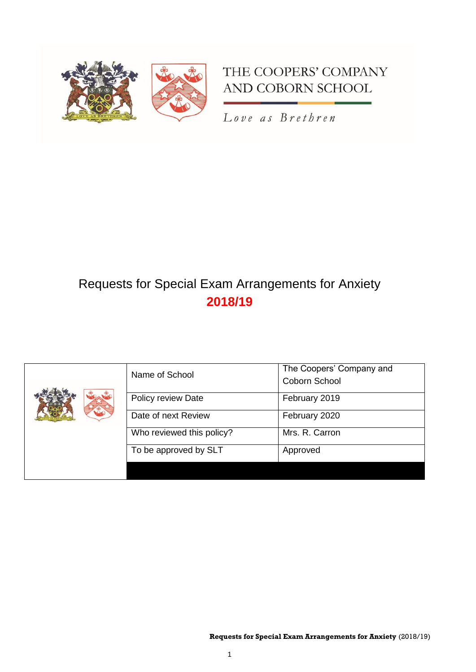

## THE COOPERS' COMPANY AND COBORN SCHOOL

Love as Brethren

## Requests for Special Exam Arrangements for Anxiety **2018/19**

|  | Name of School            | The Coopers' Company and<br>Coborn School |
|--|---------------------------|-------------------------------------------|
|  | Policy review Date        | February 2019                             |
|  | Date of next Review       | February 2020                             |
|  | Who reviewed this policy? | Mrs. R. Carron                            |
|  | To be approved by SLT     | Approved                                  |
|  |                           |                                           |